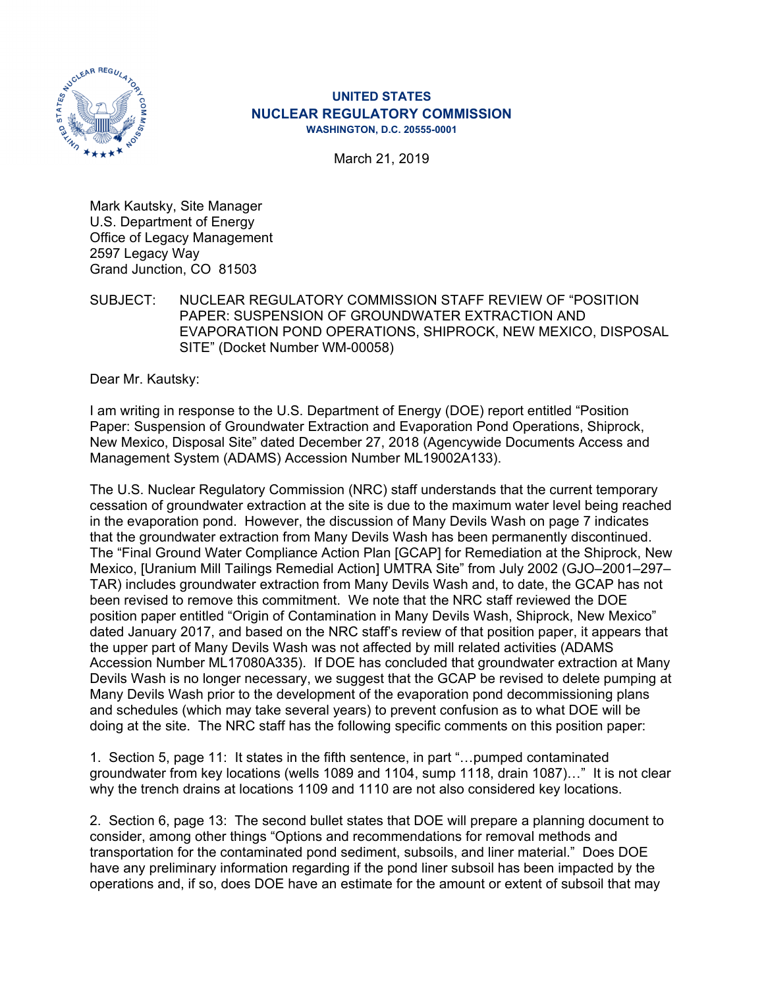

# **UNITED STATES NUCLEAR REGULATORY COMMISSION WASHINGTON, D.C. 20555-0001**

March 21, 2019

Mark Kautsky, Site Manager U.S. Department of Energy Office of Legacy Management 2597 Legacy Way Grand Junction, CO 81503

SUBJECT: NUCLEAR REGULATORY COMMISSION STAFF REVIEW OF "POSITION PAPER: SUSPENSION OF GROUNDWATER EXTRACTION AND EVAPORATION POND OPERATIONS, SHIPROCK, NEW MEXICO, DISPOSAL SITE" (Docket Number WM-00058)

Dear Mr. Kautsky:

I am writing in response to the U.S. Department of Energy (DOE) report entitled "Position Paper: Suspension of Groundwater Extraction and Evaporation Pond Operations, Shiprock, New Mexico, Disposal Site" dated December 27, 2018 (Agencywide Documents Access and Management System (ADAMS) Accession Number ML19002A133).

The U.S. Nuclear Regulatory Commission (NRC) staff understands that the current temporary cessation of groundwater extraction at the site is due to the maximum water level being reached in the evaporation pond. However, the discussion of Many Devils Wash on page 7 indicates that the groundwater extraction from Many Devils Wash has been permanently discontinued. The "Final Ground Water Compliance Action Plan [GCAP] for Remediation at the Shiprock, New Mexico, [Uranium Mill Tailings Remedial Action] UMTRA Site" from July 2002 (GJO–2001–297– TAR) includes groundwater extraction from Many Devils Wash and, to date, the GCAP has not been revised to remove this commitment. We note that the NRC staff reviewed the DOE position paper entitled "Origin of Contamination in Many Devils Wash, Shiprock, New Mexico" dated January 2017, and based on the NRC staff's review of that position paper, it appears that the upper part of Many Devils Wash was not affected by mill related activities (ADAMS Accession Number ML17080A335). If DOE has concluded that groundwater extraction at Many Devils Wash is no longer necessary, we suggest that the GCAP be revised to delete pumping at Many Devils Wash prior to the development of the evaporation pond decommissioning plans and schedules (which may take several years) to prevent confusion as to what DOE will be doing at the site. The NRC staff has the following specific comments on this position paper:

1. Section 5, page 11: It states in the fifth sentence, in part "…pumped contaminated groundwater from key locations (wells 1089 and 1104, sump 1118, drain 1087)…" It is not clear why the trench drains at locations 1109 and 1110 are not also considered key locations.

2. Section 6, page 13: The second bullet states that DOE will prepare a planning document to consider, among other things "Options and recommendations for removal methods and transportation for the contaminated pond sediment, subsoils, and liner material." Does DOE have any preliminary information regarding if the pond liner subsoil has been impacted by the operations and, if so, does DOE have an estimate for the amount or extent of subsoil that may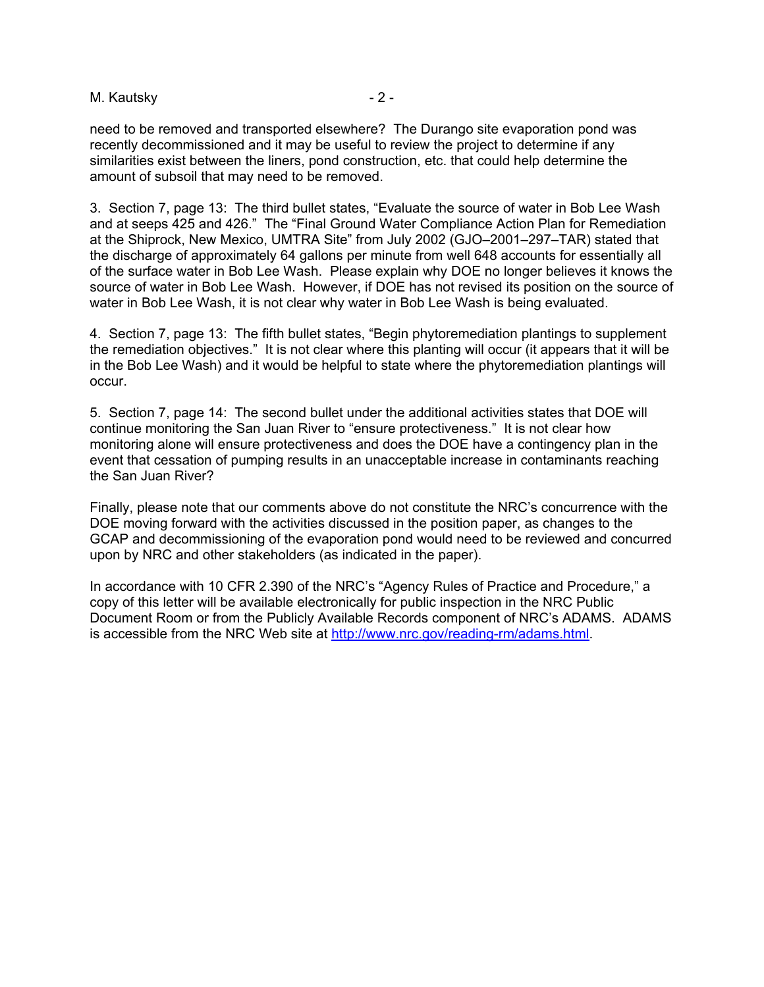### M. Kautsky **- 2 -** 2 -

need to be removed and transported elsewhere? The Durango site evaporation pond was recently decommissioned and it may be useful to review the project to determine if any similarities exist between the liners, pond construction, etc. that could help determine the amount of subsoil that may need to be removed.

3. Section 7, page 13: The third bullet states, "Evaluate the source of water in Bob Lee Wash and at seeps 425 and 426." The "Final Ground Water Compliance Action Plan for Remediation at the Shiprock, New Mexico, UMTRA Site" from July 2002 (GJO–2001–297–TAR) stated that the discharge of approximately 64 gallons per minute from well 648 accounts for essentially all of the surface water in Bob Lee Wash. Please explain why DOE no longer believes it knows the source of water in Bob Lee Wash. However, if DOE has not revised its position on the source of water in Bob Lee Wash, it is not clear why water in Bob Lee Wash is being evaluated.

4. Section 7, page 13: The fifth bullet states, "Begin phytoremediation plantings to supplement the remediation objectives." It is not clear where this planting will occur (it appears that it will be in the Bob Lee Wash) and it would be helpful to state where the phytoremediation plantings will occur.

5. Section 7, page 14: The second bullet under the additional activities states that DOE will continue monitoring the San Juan River to "ensure protectiveness." It is not clear how monitoring alone will ensure protectiveness and does the DOE have a contingency plan in the event that cessation of pumping results in an unacceptable increase in contaminants reaching the San Juan River?

Finally, please note that our comments above do not constitute the NRC's concurrence with the DOE moving forward with the activities discussed in the position paper, as changes to the GCAP and decommissioning of the evaporation pond would need to be reviewed and concurred upon by NRC and other stakeholders (as indicated in the paper).

In accordance with 10 CFR 2.390 of the NRC's "Agency Rules of Practice and Procedure," a copy of this letter will be available electronically for public inspection in the NRC Public Document Room or from the Publicly Available Records component of NRC's ADAMS. ADAMS is accessible from the NRC Web site at http://www.nrc.gov/reading-rm/adams.html.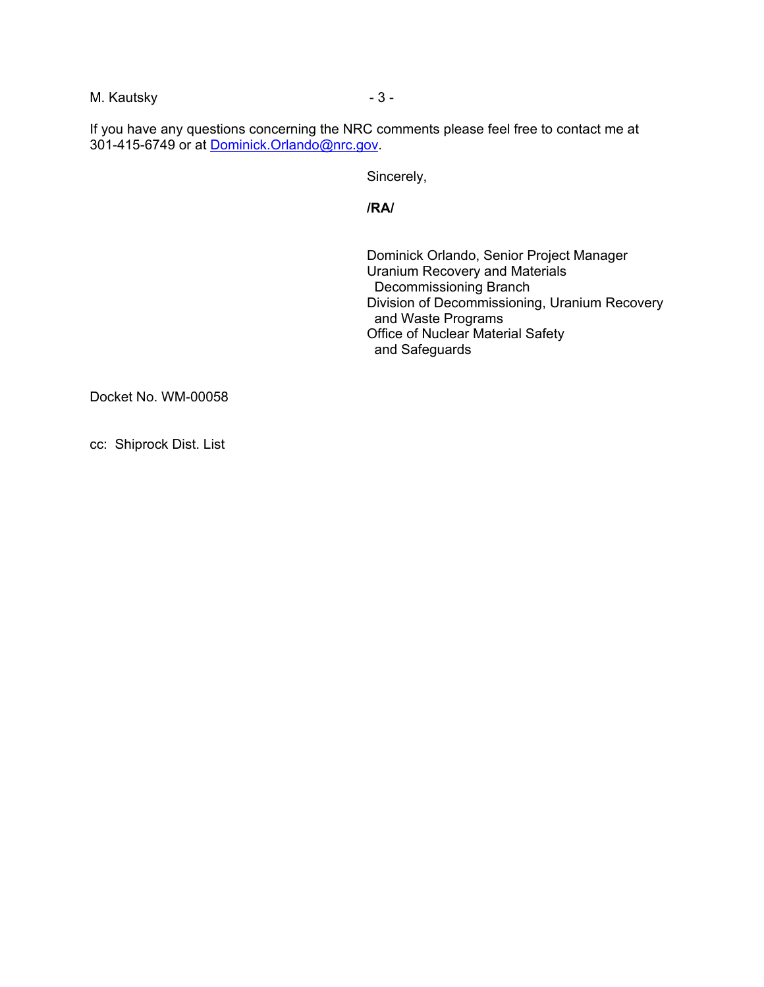M. Kautsky and the state of  $\sim$  3 -

If you have any questions concerning the NRC comments please feel free to contact me at 301-415-6749 or at Dominick.Orlando@nrc.gov.

Sincerely,

**/RA/** 

 Dominick Orlando, Senior Project Manager Uranium Recovery and Materials Decommissioning Branch Division of Decommissioning, Uranium Recovery and Waste Programs Office of Nuclear Material Safety and Safeguards

Docket No. WM-00058

cc: Shiprock Dist. List